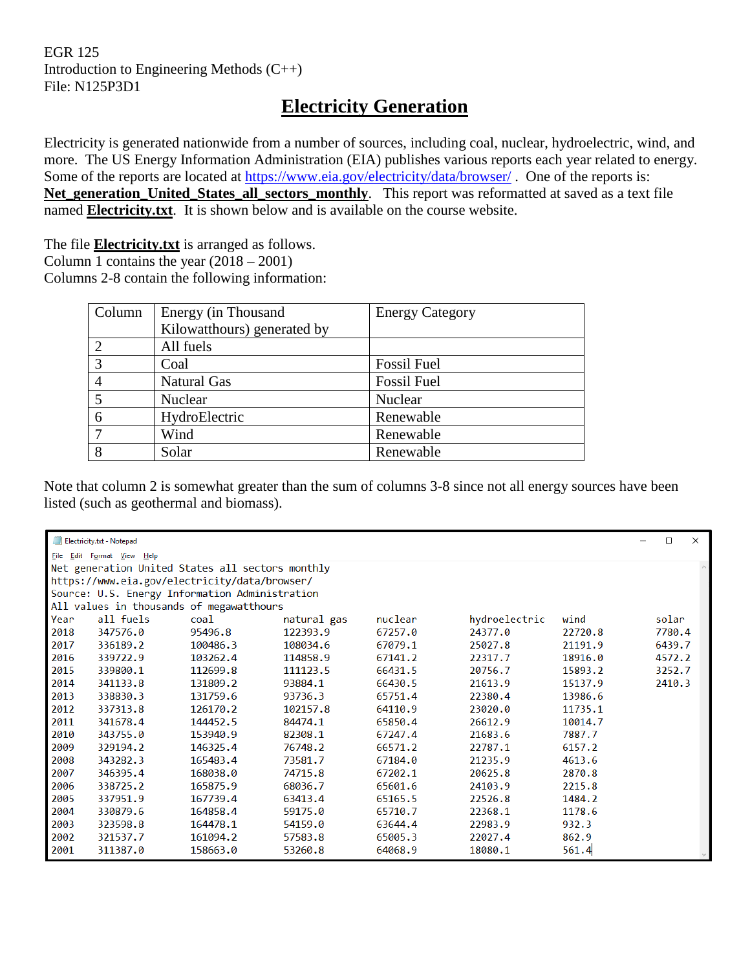## EGR 125 Introduction to Engineering Methods (C++) File: N125P3D1

# **Electricity Generation**

Electricity is generated nationwide from a number of sources, including coal, nuclear, hydroelectric, wind, and more. The US Energy Information Administration (EIA) publishes various reports each year related to energy. Some of the reports are located at<https://www.eia.gov/electricity/data/browser/>. One of the reports is: Net generation\_United\_States\_all\_sectors\_monthly. This report was reformatted at saved as a text file named **Electricity.txt**. It is shown below and is available on the course website.

The file **Electricity.txt** is arranged as follows. Column 1 contains the year  $(2018 – 2001)$ 

Columns 2-8 contain the following information:

| Column | Energy (in Thousand         | <b>Energy Category</b> |
|--------|-----------------------------|------------------------|
|        | Kilowatthours) generated by |                        |
|        | All fuels                   |                        |
| 3      | Coal                        | <b>Fossil Fuel</b>     |
|        | <b>Natural Gas</b>          | <b>Fossil Fuel</b>     |
|        | Nuclear                     | Nuclear                |
| 6      | HydroElectric               | Renewable              |
|        | Wind                        | Renewable              |
| 8      | Solar                       | Renewable              |

Note that column 2 is somewhat greater than the sum of columns 3-8 since not all energy sources have been listed (such as geothermal and biomass).

| Electricity.txt - Notepad<br>$\Box$<br>$\times$ |                            |                                                  |             |         |               |         |        |
|-------------------------------------------------|----------------------------|--------------------------------------------------|-------------|---------|---------------|---------|--------|
|                                                 | File Edit Format View Help |                                                  |             |         |               |         |        |
|                                                 |                            | Net generation United States all sectors monthly |             |         |               |         |        |
|                                                 |                            | https://www.eia.gov/electricity/data/browser/    |             |         |               |         |        |
|                                                 |                            | Source: U.S. Energy Information Administration   |             |         |               |         |        |
|                                                 |                            | All values in thousands of megawatthours         |             |         |               |         |        |
| Year                                            | all fuels                  | coal                                             | natural gas | nuclear | hydroelectric | wind    | solar  |
| 2018                                            | 347576.0                   | 95496.8                                          | 122393.9    | 67257.0 | 24377.0       | 22720.8 | 7780.4 |
| 2017                                            | 336189.2                   | 100486.3                                         | 108034.6    | 67079.1 | 25027.8       | 21191.9 | 6439.7 |
| 2016                                            | 339722.9                   | 103262.4                                         | 114858.9    | 67141.2 | 22317.7       | 18916.0 | 4572.2 |
| 2015                                            | 339800.1                   | 112699.8                                         | 111123.5    | 66431.5 | 20756.7       | 15893.2 | 3252.7 |
| 2014                                            | 341133.8                   | 131809.2                                         | 93884.1     | 66430.5 | 21613.9       | 15137.9 | 2410.3 |
| 2013                                            | 338830.3                   | 131759.6                                         | 93736.3     | 65751.4 | 22380.4       | 13986.6 |        |
| 2012                                            | 337313.8                   | 126170.2                                         | 102157.8    | 64110.9 | 23020.0       | 11735.1 |        |
| 2011                                            | 341678.4                   | 144452.5                                         | 84474.1     | 65850.4 | 26612.9       | 10014.7 |        |
| 2010                                            | 343755.0                   | 153940.9                                         | 82308.1     | 67247.4 | 21683.6       | 7887.7  |        |
| 2009                                            | 329194.2                   | 146325.4                                         | 76748.2     | 66571.2 | 22787.1       | 6157.2  |        |
| 2008                                            | 343282.3                   | 165483.4                                         | 73581.7     | 67184.0 | 21235.9       | 4613.6  |        |
| 2007                                            | 346395.4                   | 168038.0                                         | 74715.8     | 67202.1 | 20625.8       | 2870.8  |        |
| 2006                                            | 338725.2                   | 165875.9                                         | 68036.7     | 65601.6 | 24103.9       | 2215.8  |        |
| 2005                                            | 337951.9                   | 167739.4                                         | 63413.4     | 65165.5 | 22526.8       | 1484.2  |        |
| 2004                                            | 330879.6                   | 164858.4                                         | 59175.0     | 65710.7 | 22368.1       | 1178.6  |        |
| 2003                                            | 323598.8                   | 164478.1                                         | 54159.0     | 63644.4 | 22983.9       | 932.3   |        |
| 2002                                            | 321537.7                   | 161094.2                                         | 57583.8     | 65005.3 | 22027.4       | 862.9   |        |
| 2001                                            | 311387.0                   | 158663.0                                         | 53260.8     | 64068.9 | 18080.1       | 561.4   |        |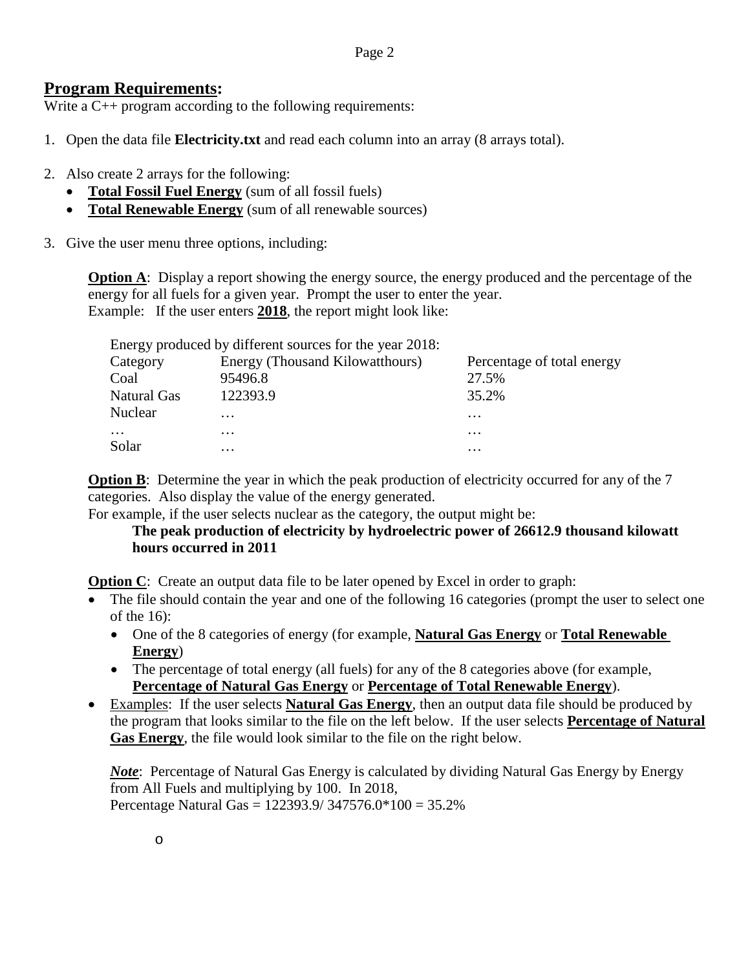## **Program Requirements:**

Write a C++ program according to the following requirements:

- 1. Open the data file **Electricity.txt** and read each column into an array (8 arrays total).
- 2. Also create 2 arrays for the following:
	- **Total Fossil Fuel Energy** (sum of all fossil fuels)
	- **Total Renewable Energy** (sum of all renewable sources)
- 3. Give the user menu three options, including:

**Option A**: Display a report showing the energy source, the energy produced and the percentage of the energy for all fuels for a given year. Prompt the user to enter the year. Example: If the user enters **2018**, the report might look like:

|                | Energy produced by different sources for the year 2018: |                            |
|----------------|---------------------------------------------------------|----------------------------|
| Category       | Energy (Thousand Kilowatthours)                         | Percentage of total energy |
| Coal           | 95496.8                                                 | 27.5%                      |
| Natural Gas    | 122393.9                                                | 35.2%                      |
| <b>Nuclear</b> | $\cdots$                                                | $\cdots$                   |
| $\cdots$       | $\cdots$                                                | $\cdots$                   |
| Solar          | $\cdots$                                                | $\cdots$                   |

**Option B**: Determine the year in which the peak production of electricity occurred for any of the 7 categories. Also display the value of the energy generated.

For example, if the user selects nuclear as the category, the output might be:

## **The peak production of electricity by hydroelectric power of 26612.9 thousand kilowatt hours occurred in 2011**

**Option C**: Create an output data file to be later opened by Excel in order to graph:

- The file should contain the year and one of the following 16 categories (prompt the user to select one of the 16):
	- One of the 8 categories of energy (for example, **Natural Gas Energy** or **Total Renewable Energy**)
	- The percentage of total energy (all fuels) for any of the 8 categories above (for example, **Percentage of Natural Gas Energy** or **Percentage of Total Renewable Energy**).
- Examples: If the user selects **Natural Gas Energy**, then an output data file should be produced by the program that looks similar to the file on the left below. If the user selects **Percentage of Natural Gas Energy**, the file would look similar to the file on the right below.

*Note*: Percentage of Natural Gas Energy is calculated by dividing Natural Gas Energy by Energy from All Fuels and multiplying by 100. In 2018, Percentage Natural Gas = 122393.9/ 347576.0\*100 = 35.2%